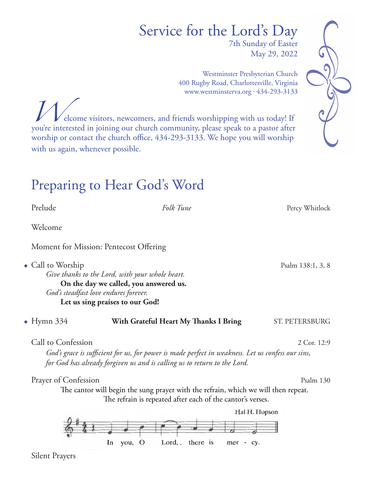# Service for the Lord's Day

7th Sunday of Easter May 29, 2022

Westminster Presbyterian Church 400 Rugby Road, Charlottesville, Virginia www.westminsterva.org . 434-293-3133

elcome visitors, newcomers, and friends worshipping with us today! If you're interested in joining our church community, please speak to a pastor after worship or contact the church office, 434-293-3133. We hope you will worship with us again, whenever possible.

## Preparing to Hear God's Word

Prelude Folk Tune Form Percy Whitlock

Welcome

Moment for Mission: Pentecost Offering

• Call to Worship  $\overline{P}$  Psalm 138:1, 3, 8

 *Give thanks to the Lord, with your whole heart.* **On the day we called, you answered us.**  *God's steadfast love endures forever.* Let us sing praises to our God!

• Hymn 334 **With Grateful Heart My Thanks I Bring** ST. PETERSBURG

Call to Confession 2 Cor. 12:9

 *God's grace is sufficient for us, for power is made perfect in weakness. Let us confess our sins, for God has already forgiven us and is calling us to return to the Lord.*

Prayer of Confession **Prayer** of Confession

The cantor will begin the sung prayer with the refrain, which we will then repeat. The refrain is repeated after each of the cantor's verses.



Silent Prayers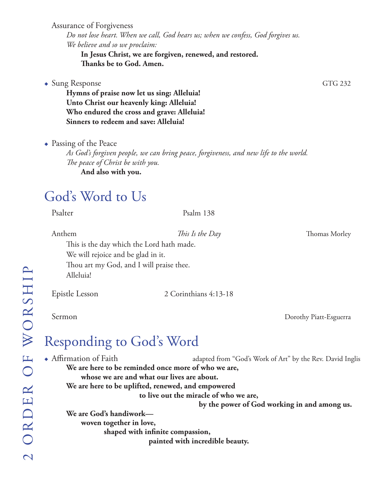Assurance of Forgiveness

 *Do not lose heart. When we call, God hears us; when we confess, God forgives us. We believe and so we proclaim:*

**In Jesus Christ, we are forgiven, renewed, and restored.**  **Thanks be to God. Amen.**

#### • Sung Response GTG 232

 **Hymns of praise now let us sing: Alleluia! Unto Christ our heavenly king: Alleluia! Who endured the cross and grave: Alleluia! Sinners to redeem and save: Alleluia!**

 $\bullet$  Passing of the Peace

 *As God's forgiven people, we can bring peace, forgiveness, and new life to the world. The peace of Christ be with you.*

**And also with you.**

## God's Word to Us

Psalter Psalm 138

Anthem *This Is the Day* Thomas Morley

 This is the day which the Lord hath made. We will rejoice and be glad in it. Thou art my God, and I will praise thee. Alleluia!

Epistle Lesson 2 Corinthians 4:13-18

Sermon Dorothy Piatt-Esguerra

## Responding to God's Word

• Affirmation of Faith adapted from "God's Work of Art" by the Rev. David Inglis  **We are here to be reminded once more of who we are, whose we are and what our lives are about. We are here to be uplifted, renewed, and empowered to live out the miracle of who we are, by the power of God working in and among us. We are God's handiwork woven together in love, shaped with infinite compassion,**

 **painted with incredible beauty.**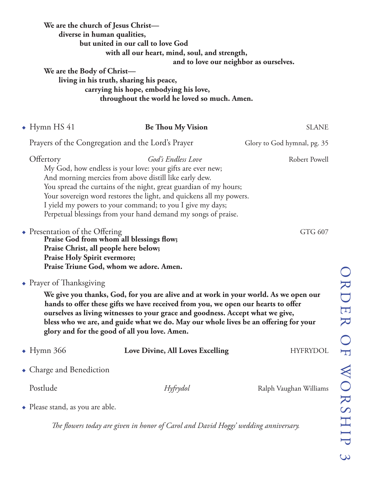| We are the church of Jesus Christ-<br>diverse in human qualities,<br>but united in our call to love God<br>with all our heart, mind, soul, and strength,<br>and to love our neighbor as ourselves.<br>We are the Body of Christ-<br>living in his truth, sharing his peace,<br>carrying his hope, embodying his love,<br>throughout the world he loved so much. Amen. |                                                                                                                                                                                                                                                                                                                                                                                                                      |                             |
|-----------------------------------------------------------------------------------------------------------------------------------------------------------------------------------------------------------------------------------------------------------------------------------------------------------------------------------------------------------------------|----------------------------------------------------------------------------------------------------------------------------------------------------------------------------------------------------------------------------------------------------------------------------------------------------------------------------------------------------------------------------------------------------------------------|-----------------------------|
| $\rightarrow$ Hymn HS 41                                                                                                                                                                                                                                                                                                                                              | <b>Be Thou My Vision</b>                                                                                                                                                                                                                                                                                                                                                                                             | <b>SLANE</b>                |
| Prayers of the Congregation and the Lord's Prayer                                                                                                                                                                                                                                                                                                                     |                                                                                                                                                                                                                                                                                                                                                                                                                      | Glory to God hymnal, pg. 35 |
| Offertory                                                                                                                                                                                                                                                                                                                                                             | God's Endless Love<br>My God, how endless is your love: your gifts are ever new;<br>And morning mercies from above distill like early dew.<br>You spread the curtains of the night, great guardian of my hours;<br>Your sovereign word restores the light, and quickens all my powers.<br>I yield my powers to your command; to you I give my days;<br>Perpetual blessings from your hand demand my songs of praise. | Robert Powell               |
| • Presentation of the Offering<br>Praise God from whom all blessings flow;<br>Praise Christ, all people here below;<br><b>Praise Holy Spirit evermore;</b><br>Praise Triune God, whom we adore. Amen.                                                                                                                                                                 |                                                                                                                                                                                                                                                                                                                                                                                                                      | GTG 607                     |
| $\bullet$ Prayer of Thanksgiving                                                                                                                                                                                                                                                                                                                                      | We give you thanks, God, for you are alive and at work in your world. As we open our<br>hands to offer these gifts we have received from you, we open our hearts to offer<br>ourselves as living witnesses to your grace and goodness. Accept what we give,<br>bless who we are, and guide what we do. May our whole lives be an offering for your<br>glory and for the good of all you love. Amen.                  |                             |
| $\bullet$ Hymn 366                                                                                                                                                                                                                                                                                                                                                    | Love Divine, All Loves Excelling                                                                                                                                                                                                                                                                                                                                                                                     | <b>HYFRYDOL</b>             |
| • Charge and Benediction                                                                                                                                                                                                                                                                                                                                              |                                                                                                                                                                                                                                                                                                                                                                                                                      |                             |
| Postlude                                                                                                                                                                                                                                                                                                                                                              | Hyfrydol                                                                                                                                                                                                                                                                                                                                                                                                             | Ralph Vaughan Williams      |
| $\bullet$ Please stand, as you are able.                                                                                                                                                                                                                                                                                                                              |                                                                                                                                                                                                                                                                                                                                                                                                                      |                             |

*The flowers today are given in honor of Carol and David Hoggs' wedding anniversary.*